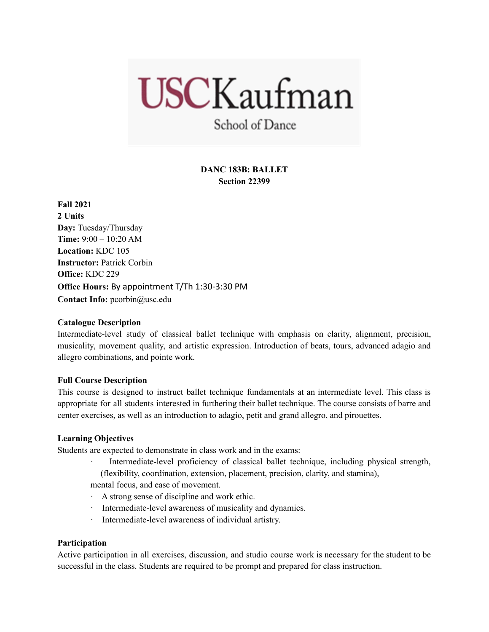# **USCKaufman**

School of Dance

# **DANC 183B: BALLET Section 22399**

**Fall 2021 2 Units Day:** Tuesday/Thursday **Time:** 9:00 – 10:20 AM **Location:** KDC 105 **Instructor:** Patrick Corbin **Office:** KDC 229 **Office Hours:** By appointment T/Th 1:30-3:30 PM **Contact Info:** pcorbin@usc.edu

# **Catalogue Description**

Intermediate-level study of classical ballet technique with emphasis on clarity, alignment, precision, musicality, movement quality, and artistic expression. Introduction of beats, tours, advanced adagio and allegro combinations, and pointe work.

# **Full Course Description**

This course is designed to instruct ballet technique fundamentals at an intermediate level. This class is appropriate for all students interested in furthering their ballet technique. The course consists of barre and center exercises, as well as an introduction to adagio, petit and grand allegro, and pirouettes.

# **Learning Objectives**

Students are expected to demonstrate in class work and in the exams:

Intermediate-level proficiency of classical ballet technique, including physical strength, (flexibility, coordination, extension, placement, precision, clarity, and stamina),

mental focus, and ease of movement.

- · A strong sense of discipline and work ethic.
- · Intermediate-level awareness of musicality and dynamics.
- Intermediate-level awareness of individual artistry.

## **Participation**

Active participation in all exercises, discussion, and studio course work is necessary for the student to be successful in the class. Students are required to be prompt and prepared for class instruction.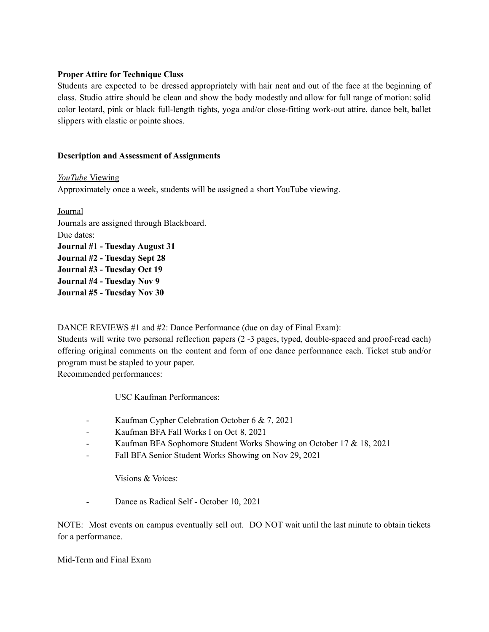## **Proper Attire for Technique Class**

Students are expected to be dressed appropriately with hair neat and out of the face at the beginning of class. Studio attire should be clean and show the body modestly and allow for full range of motion: solid color leotard, pink or black full-length tights, yoga and/or close-fitting work-out attire, dance belt, ballet slippers with elastic or pointe shoes.

## **Description and Assessment of Assignments**

*YouTube* Viewing Approximately once a week, students will be assigned a short YouTube viewing.

Journal Journals are assigned through Blackboard. Due dates: **Journal #1 - Tuesday August 31 Journal #2 - Tuesday Sept 28 Journal #3 - Tuesday Oct 19 Journal #4 - Tuesday Nov 9 Journal #5 - Tuesday Nov 30**

DANCE REVIEWS #1 and #2: Dance Performance (due on day of Final Exam):

Students will write two personal reflection papers (2 -3 pages, typed, double-spaced and proof-read each) offering original comments on the content and form of one dance performance each. Ticket stub and/or program must be stapled to your paper.

Recommended performances:

USC Kaufman Performances:

- Kaufman Cypher Celebration October 6 & 7, 2021
- Kaufman BFA Fall Works I on Oct 8, 2021
- Kaufman BFA Sophomore Student Works Showing on October 17 & 18, 2021
- Fall BFA Senior Student Works Showing on Nov 29, 2021

Visions & Voices:

- Dance as Radical Self - October 10, 2021

NOTE: Most events on campus eventually sell out. DO NOT wait until the last minute to obtain tickets for a performance.

Mid-Term and Final Exam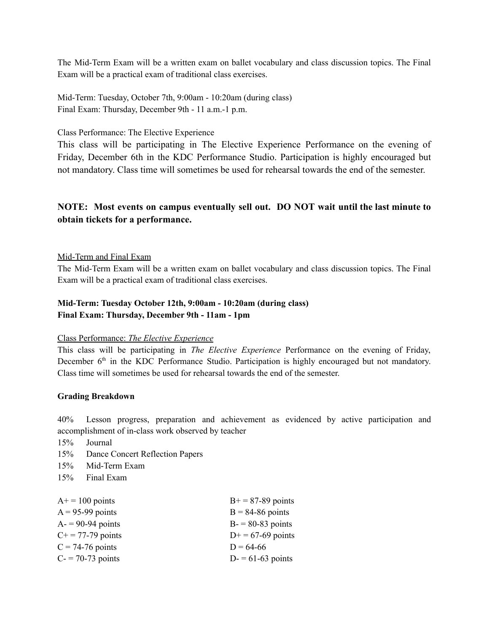The Mid-Term Exam will be a written exam on ballet vocabulary and class discussion topics. The Final Exam will be a practical exam of traditional class exercises.

Mid-Term: Tuesday, October 7th, 9:00am - 10:20am (during class) Final Exam: Thursday, December 9th - 11 a.m.-1 p.m.

Class Performance: The Elective Experience

This class will be participating in The Elective Experience Performance on the evening of Friday, December 6th in the KDC Performance Studio. Participation is highly encouraged but not mandatory. Class time will sometimes be used for rehearsal towards the end of the semester.

# **NOTE: Most events on campus eventually sell out. DO NOT wait until the last minute to obtain tickets for a performance.**

## Mid-Term and Final Exam

The Mid-Term Exam will be a written exam on ballet vocabulary and class discussion topics. The Final Exam will be a practical exam of traditional class exercises.

# **Mid-Term: Tuesday October 12th, 9:00am - 10:20am (during class) Final Exam: Thursday, December 9th - 11am - 1pm**

## Class Performance: *The Elective Experience*

This class will be participating in *The Elective Experience* Performance on the evening of Friday, December 6<sup>th</sup> in the KDC Performance Studio. Participation is highly encouraged but not mandatory. Class time will sometimes be used for rehearsal towards the end of the semester.

## **Grading Breakdown**

40% Lesson progress, preparation and achievement as evidenced by active participation and accomplishment of in-class work observed by teacher

- 15% Journal
- 15% Dance Concert Reflection Papers
- 15% Mid-Term Exam
- 15% Final Exam

| $A+=100$ points          | $B+=87-89$ points  |
|--------------------------|--------------------|
| $A = 95-99$ points       | $B = 84-86$ points |
| $A = 90-94$ points       | $B = 80-83$ points |
| $C_{+} = 77 - 79$ points | $D+= 67-69$ points |
| $C = 74-76$ points       | $D = 64-66$        |
| $C = 70-73$ points       | $D = 61-63$ points |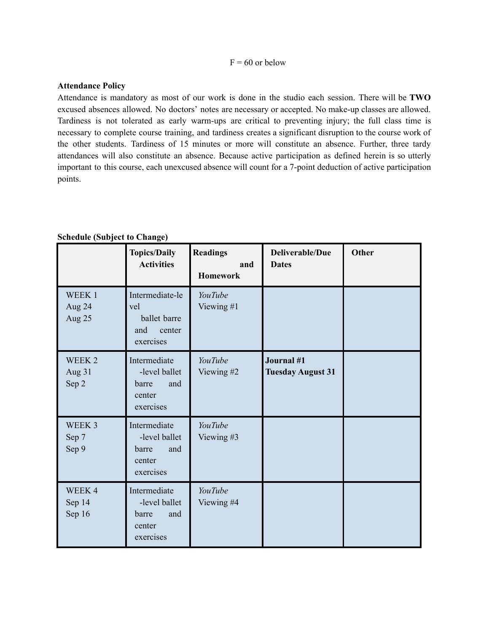#### $F = 60$  or below

### **Attendance Policy**

Attendance is mandatory as most of our work is done in the studio each session. There will be **TWO** excused absences allowed. No doctors' notes are necessary or accepted. No make-up classes are allowed. Tardiness is not tolerated as early warm-ups are critical to preventing injury; the full class time is necessary to complete course training, and tardiness creates a significant disruption to the course work of the other students. Tardiness of 15 minutes or more will constitute an absence. Further, three tardy attendances will also constitute an absence. Because active participation as defined herein is so utterly important to this course, each unexcused absence will count for a 7-point deduction of active participation points.

|  | <b>Schedule (Subject to Change)</b> |  |
|--|-------------------------------------|--|
|--|-------------------------------------|--|

|                            | <b>Topics/Daily</b><br><b>Activities</b>                             | <b>Readings</b><br>and<br><b>Homework</b> | Deliverable/Due<br><b>Dates</b>               | <b>Other</b> |
|----------------------------|----------------------------------------------------------------------|-------------------------------------------|-----------------------------------------------|--------------|
| WEEK 1<br>Aug 24<br>Aug 25 | Intermediate-le<br>vel<br>ballet barre<br>and<br>center<br>exercises | YouTube<br>Viewing #1                     |                                               |              |
| WEEK 2<br>Aug 31<br>Sep 2  | Intermediate<br>-level ballet<br>and<br>barre<br>center<br>exercises | YouTube<br>Viewing #2                     | <b>Journal</b> #1<br><b>Tuesday August 31</b> |              |
| WEEK 3<br>Sep 7<br>Sep 9   | Intermediate<br>-level ballet<br>barre<br>and<br>center<br>exercises | YouTube<br>Viewing #3                     |                                               |              |
| WEEK4<br>Sep 14<br>Sep 16  | Intermediate<br>-level ballet<br>barre<br>and<br>center<br>exercises | YouTube<br>Viewing #4                     |                                               |              |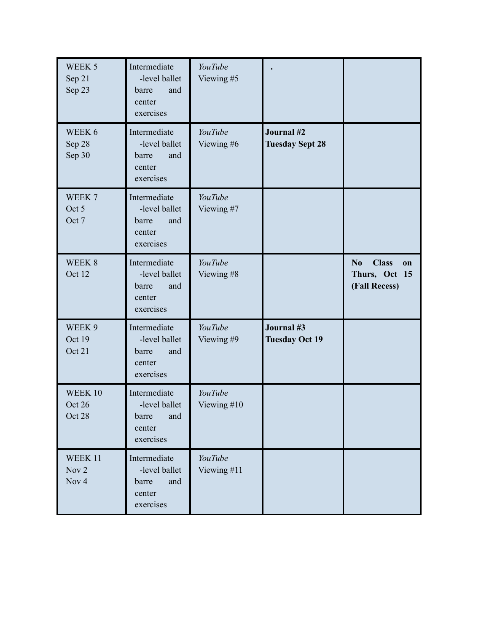| WEEK 5<br>Sep 21<br>Sep 23           | Intermediate<br>-level ballet<br>and<br>barre<br>center<br>exercises | YouTube<br>Viewing #5         |                                      |                                                                        |
|--------------------------------------|----------------------------------------------------------------------|-------------------------------|--------------------------------------|------------------------------------------------------------------------|
| WEEK 6<br>Sep 28<br>Sep 30           | Intermediate<br>-level ballet<br>and<br>barre<br>center<br>exercises | YouTube<br>Viewing #6         | Journal #2<br><b>Tuesday Sept 28</b> |                                                                        |
| WEEK 7<br>Oct 5<br>Oct 7             | Intermediate<br>-level ballet<br>barre<br>and<br>center<br>exercises | YouTube<br>Viewing #7         |                                      |                                                                        |
| WEEK 8<br>Oct 12                     | Intermediate<br>-level ballet<br>barre<br>and<br>center<br>exercises | YouTube<br>Viewing #8         |                                      | <b>Class</b><br>N <sub>0</sub><br>on<br>Thurs, Oct 15<br>(Fall Recess) |
| WEEK 9<br>Oct 19<br>Oct 21           | Intermediate<br>-level ballet<br>and<br>barre<br>center<br>exercises | YouTube<br>Viewing #9         | Journal #3<br><b>Tuesday Oct 19</b>  |                                                                        |
| WEEK 10<br>Oct 26<br>Oct 28          | Intermediate<br>-level ballet<br>barre<br>and<br>center<br>exercises | <b>YouTube</b><br>Viewing #10 |                                      |                                                                        |
| WEEK 11<br>Nov 2<br>Nov <sub>4</sub> | Intermediate<br>-level ballet<br>and<br>barre<br>center<br>exercises | YouTube<br>Viewing #11        |                                      |                                                                        |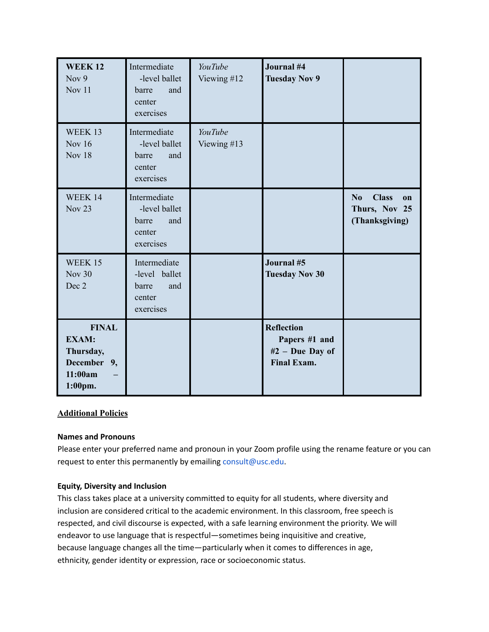| <b>WEEK12</b><br>Nov 9<br>Nov 11                                               | Intermediate<br>-level ballet<br>barre<br>and<br>center<br>exercises | YouTube<br>Viewing #12 | Journal #4<br><b>Tuesday Nov 9</b>                                          |                                                             |
|--------------------------------------------------------------------------------|----------------------------------------------------------------------|------------------------|-----------------------------------------------------------------------------|-------------------------------------------------------------|
| WEEK 13<br><b>Nov 16</b><br><b>Nov 18</b>                                      | Intermediate<br>-level ballet<br>and<br>barre<br>center<br>exercises | YouTube<br>Viewing #13 |                                                                             |                                                             |
| WEEK 14<br><b>Nov 23</b>                                                       | Intermediate<br>-level ballet<br>barre<br>and<br>center<br>exercises |                        |                                                                             | <b>Class</b><br>No<br>on<br>Thurs, Nov 25<br>(Thanksgiving) |
| WEEK 15<br><b>Nov 30</b><br>Dec 2                                              | Intermediate<br>-level ballet<br>barre<br>and<br>center<br>exercises |                        | Journal #5<br><b>Tuesday Nov 30</b>                                         |                                                             |
| <b>FINAL</b><br><b>EXAM:</b><br>Thursday,<br>December 9,<br>11:00am<br>1:00pm. |                                                                      |                        | <b>Reflection</b><br>Papers #1 and<br>#2 - Due Day of<br><b>Final Exam.</b> |                                                             |

# **Additional Policies**

## **Names and Pronouns**

Please enter your preferred name and pronoun in your Zoom profile using the rename feature or you can request to enter this permanently by emailing consult@usc.edu.

## **Equity, Diversity and Inclusion**

This class takes place at a university committed to equity for all students, where diversity and inclusion are considered critical to the academic environment. In this classroom, free speech is respected, and civil discourse is expected, with a safe learning environment the priority. We will endeavor to use language that is respectful—sometimes being inquisitive and creative, because language changes all the time—particularly when it comes to differences in age, ethnicity, gender identity or expression, race or socioeconomic status.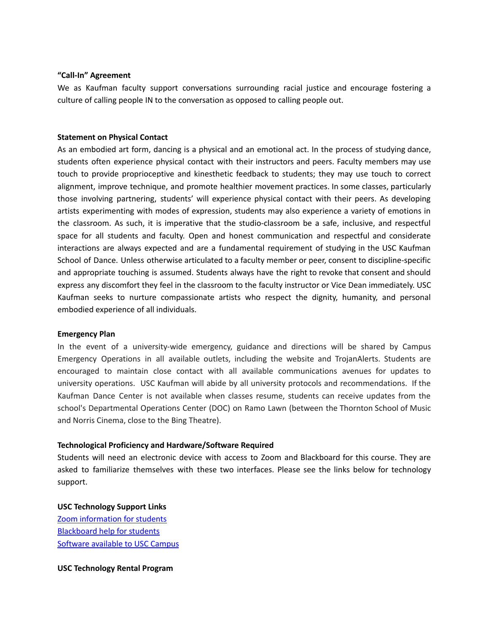#### **"Call-In" Agreement**

We as Kaufman faculty support conversations surrounding racial justice and encourage fostering a culture of calling people IN to the conversation as opposed to calling people out.

#### **Statement on Physical Contact**

As an embodied art form, dancing is a physical and an emotional act. In the process of studying dance, students often experience physical contact with their instructors and peers. Faculty members may use touch to provide proprioceptive and kinesthetic feedback to students; they may use touch to correct alignment, improve technique, and promote healthier movement practices. In some classes, particularly those involving partnering, students' will experience physical contact with their peers. As developing artists experimenting with modes of expression, students may also experience a variety of emotions in the classroom. As such, it is imperative that the studio-classroom be a safe, inclusive, and respectful space for all students and faculty. Open and honest communication and respectful and considerate interactions are always expected and are a fundamental requirement of studying in the USC Kaufman School of Dance. Unless otherwise articulated to a faculty member or peer, consent to discipline-specific and appropriate touching is assumed. Students always have the right to revoke that consent and should express any discomfort they feel in the classroom to the faculty instructor or Vice Dean immediately. USC Kaufman seeks to nurture compassionate artists who respect the dignity, humanity, and personal embodied experience of all individuals.

#### **Emergency Plan**

In the event of a university-wide emergency, guidance and directions will be shared by Campus Emergency Operations in all available outlets, including the website and TrojanAlerts. Students are encouraged to maintain close contact with all available communications avenues for updates to university operations. USC Kaufman will abide by all university protocols and recommendations. If the Kaufman Dance Center is not available when classes resume, students can receive updates from the school's Departmental Operations Center (DOC) on Ramo Lawn (between the Thornton School of Music and Norris Cinema, close to the Bing Theatre).

#### **Technological Proficiency and Hardware/Software Required**

Students will need an electronic device with access to Zoom and Blackboard for this course. They are asked to familiarize themselves with these two interfaces. Please see the links below for technology support.

**USC Technology Support Links** Zoom [information](https://keepteaching.usc.edu/students/student-toolkit/classroom/zoom/) for students [Blackboard](https://studentblackboardhelp.usc.edu/) help for students [Software](https://software.usc.edu/) available to USC Campus

**USC Technology Rental Program**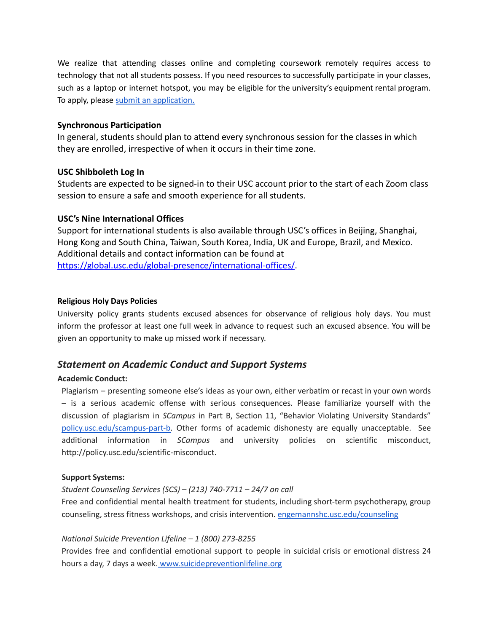We realize that attending classes online and completing coursework remotely requires access to technology that not all students possess. If you need resources to successfully participate in your classes, such as a laptop or internet hotspot, you may be eligible for the university's equipment rental program. To apply, please submit an [application.](https://studentbasicneeds.usc.edu/resources/technology-assistance/)

## **Synchronous Participation**

In general, students should plan to attend every synchronous session for the classes in which they are enrolled, irrespective of when it occurs in their time zone.

## **USC Shibboleth Log In**

Students are expected to be signed-in to their USC account prior to the start of each Zoom class session to ensure a safe and smooth experience for all students.

# **USC's Nine International Offices**

Support for international students is also available through USC's offices in Beijing, Shanghai, Hong Kong and South China, Taiwan, South Korea, India, U[K](http://click.comms.usc.edu/?qs=c79d21e58ec0c0385407e9af52d74744c7d898474dab66d4963816ae0f15c672d2e4c5d0df213a49a55b55494b5ffe13afbf57b2693386b1) and Europe, Brazil, and Mexico. Additional details and contact information can be found at [https://global.usc.edu/global-presence/international-offices/](http://click.comms.usc.edu/?qs=c79d21e58ec0c0385407e9af52d74744c7d898474dab66d4963816ae0f15c672d2e4c5d0df213a49a55b55494b5ffe13afbf57b2693386b1).

## **Religious Holy Days Policies**

University policy grants students excused absences for observance of religious holy days. You must inform the professor at least one full week in advance to request such an excused absence. You will be given an opportunity to make up missed work if necessary.

# *Statement on Academic Conduct and Support Systems*

## **Academic Conduct:**

Plagiarism – presenting someone else's ideas as your own, either verbatim or recast in your own words – is a serious academic offense with serious consequences. Please familiarize yourself with the discussion of plagiarism in *SCampus* in Part B, Section 11, "Behavior Violating University Standards["](https://policy.usc.edu/scampus-part-b/) [policy.usc.edu/scampus-part-b.](https://policy.usc.edu/scampus-part-b/) Other forms of academic dishonesty are equally unacceptable. See additional information in *SCampus* and university policies on scientific misconduct, http://policy.usc.edu/scientific-misconduct.

## **Support Systems:**

# *Student Counseling Services (SCS) – (213) 740-7711 – 24/7 on call*

Free and confidential mental health treatment for students, including short-term psychotherapy, group counseling, stress fitness workshops, and crisis intervention. [engemannshc.usc.edu/counseling](https://engemannshc.usc.edu/counseling)

## *National Suicide Prevention Lifeline – 1 (800) 273-8255*

Provides free and confidential emotional support to people in suicidal crisis or emotional distress 24 hours a day, 7 days a week. [www.suicidepreventionlifeline.org](http://www.suicidepreventionlifeline.org/)